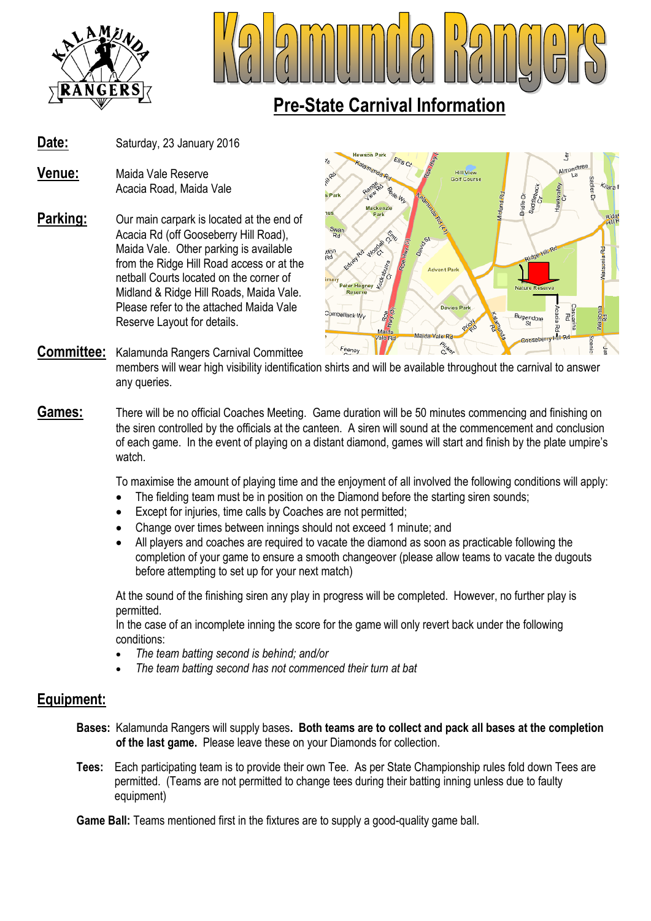



### **Pre-State Carnival Information**

- Date: Saturday, 23 January 2016
- **Venue:** Maida Vale Reserve Acacia Road, Maida Vale
- **Parking:** Our main carpark is located at the end of Acacia Rd (off Gooseberry Hill Road), Maida Vale. Other parking is available from the Ridge Hill Road access or at the netball Courts located on the corner of Midland & Ridge Hill Roads, Maida Vale. Please refer to the attached Maida Vale Reserve Layout for details.



#### **Committee:** Kalamunda Rangers Carnival Committee members will wear high visibility identification shirts and will be available throughout the carnival to answer any queries.

**Games:** There will be no official Coaches Meeting. Game duration will be 50 minutes commencing and finishing on the siren controlled by the officials at the canteen. A siren will sound at the commencement and conclusion of each game. In the event of playing on a distant diamond, games will start and finish by the plate umpire's watch.

To maximise the amount of playing time and the enjoyment of all involved the following conditions will apply:

- The fielding team must be in position on the Diamond before the starting siren sounds;
- Except for injuries, time calls by Coaches are not permitted;
- Change over times between innings should not exceed 1 minute; and
- All players and coaches are required to vacate the diamond as soon as practicable following the completion of your game to ensure a smooth changeover (please allow teams to vacate the dugouts before attempting to set up for your next match)

At the sound of the finishing siren any play in progress will be completed. However, no further play is permitted.

In the case of an incomplete inning the score for the game will only revert back under the following conditions:

- *The team batting second is behind; and/or*
- *The team batting second has not commenced their turn at bat*

#### **Equipment:**

- **Bases:** Kalamunda Rangers will supply bases**. Both teams are to collect and pack all bases at the completion of the last game.** Please leave these on your Diamonds for collection.
- **Tees:** Each participating team is to provide their own Tee. As per State Championship rules fold down Tees are permitted. (Teams are not permitted to change tees during their batting inning unless due to faulty equipment)

**Game Ball:** Teams mentioned first in the fixtures are to supply a good-quality game ball.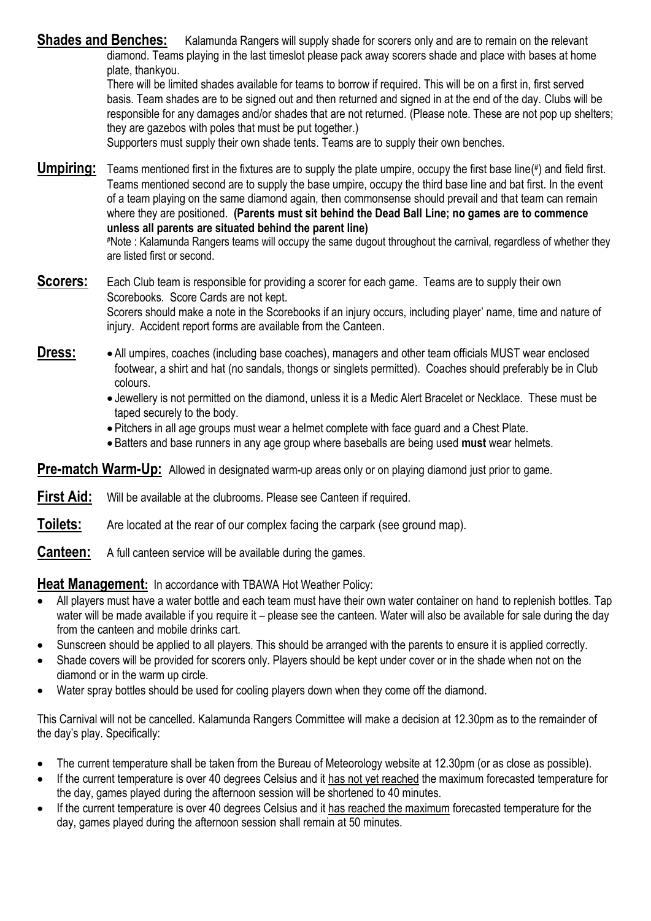**Shades and Benches:** Kalamunda Rangers will supply shade for scorers only and are to remain on the relevant diamond. Teams playing in the last timeslot please pack away scorers shade and place with bases at home plate, thankyou.

There will be limited shades available for teams to borrow if required. This will be on a first in, first served basis. Team shades are to be signed out and then returned and signed in at the end of the day. Clubs will be responsible for any damages and/or shades that are not returned. (Please note. These are not pop up shelters; they are gazebos with poles that must be put together.)

Supporters must supply their own shade tents. Teams are to supply their own benches.

Umpiring: Teams mentioned first in the fixtures are to supply the plate umpire, occupy the first base line(#) and field first. Teams mentioned second are to supply the base umpire, occupy the third base line and bat first. In the event of a team playing on the same diamond again, then commonsense should prevail and that team can remain where they are positioned. **(Parents must sit behind the Dead Ball Line; no games are to commence unless all parents are situated behind the parent line)** #Note : Kalamunda Rangers teams will occupy the same dugout throughout the carnival, regardless of whether they are listed first or second.

**Scorers:** Each Club team is responsible for providing a scorer for each game. Teams are to supply their own Scorebooks. Score Cards are not kept. Scorers should make a note in the Scorebooks if an injury occurs, including player' name, time and nature of injury. Accident report forms are available from the Canteen.

- **Dress:** All umpires, coaches (including base coaches), managers and other team officials MUST wear enclosed footwear, a shirt and hat (no sandals, thongs or singlets permitted). Coaches should preferably be in Club colours.
	- Jewellery is not permitted on the diamond, unless it is a Medic Alert Bracelet or Necklace. These must be taped securely to the body.
	- Pitchers in all age groups must wear a helmet complete with face guard and a Chest Plate.
	- Batters and base runners in any age group where baseballs are being used **must** wear helmets.

**Pre-match Warm-Up:** Allowed in designated warm-up areas only or on playing diamond just prior to game.

**First Aid:** Will be available at the clubrooms. Please see Canteen if required.

**Toilets:** Are located at the rear of our complex facing the carpark (see ground map).

**Canteen:** A full canteen service will be available during the games.

**Heat Management:** In accordance with TBAWA Hot Weather Policy:

- All players must have a water bottle and each team must have their own water container on hand to replenish bottles. Tap water will be made available if you require it – please see the canteen. Water will also be available for sale during the day from the canteen and mobile drinks cart.
- Sunscreen should be applied to all players. This should be arranged with the parents to ensure it is applied correctly.
- Shade covers will be provided for scorers only. Players should be kept under cover or in the shade when not on the diamond or in the warm up circle.
- Water spray bottles should be used for cooling players down when they come off the diamond.

This Carnival will not be cancelled. Kalamunda Rangers Committee will make a decision at 12.30pm as to the remainder of the day's play. Specifically:

- The current temperature shall be taken from the Bureau of Meteorology website at 12.30pm (or as close as possible).
- If the current temperature is over 40 degrees Celsius and it has not yet reached the maximum forecasted temperature for the day, games played during the afternoon session will be shortened to 40 minutes.
- If the current temperature is over 40 degrees Celsius and it has reached the maximum forecasted temperature for the day, games played during the afternoon session shall remain at 50 minutes.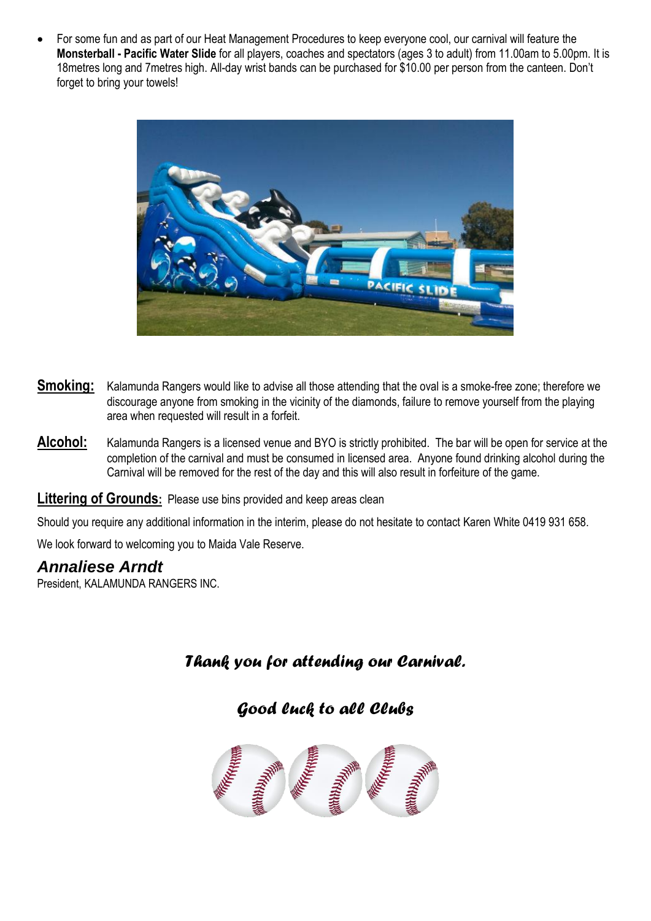For some fun and as part of our Heat Management Procedures to keep everyone cool, our carnival will feature the **Monsterball - Pacific Water Slide** for all players, coaches and spectators (ages 3 to adult) from 11.00am to 5.00pm. It is 18metres long and 7metres high. All-day wrist bands can be purchased for \$10.00 per person from the canteen. Don't forget to bring your towels!



- **Smoking:** Kalamunda Rangers would like to advise all those attending that the oval is a smoke-free zone; therefore we discourage anyone from smoking in the vicinity of the diamonds, failure to remove yourself from the playing area when requested will result in a forfeit.
- **Alcohol:** Kalamunda Rangers is a licensed venue and BYO is strictly prohibited. The bar will be open for service at the completion of the carnival and must be consumed in licensed area. Anyone found drinking alcohol during the Carnival will be removed for the rest of the day and this will also result in forfeiture of the game.

#### **Littering of Grounds:** Please use bins provided and keep areas clean

Should you require any additional information in the interim, please do not hesitate to contact Karen White 0419 931 658.

We look forward to welcoming you to Maida Vale Reserve.

#### *Annaliese Arndt*

President, KALAMUNDA RANGERS INC.

#### *Thank you for attending our Carnival.*

*Good luck to all Clubs*

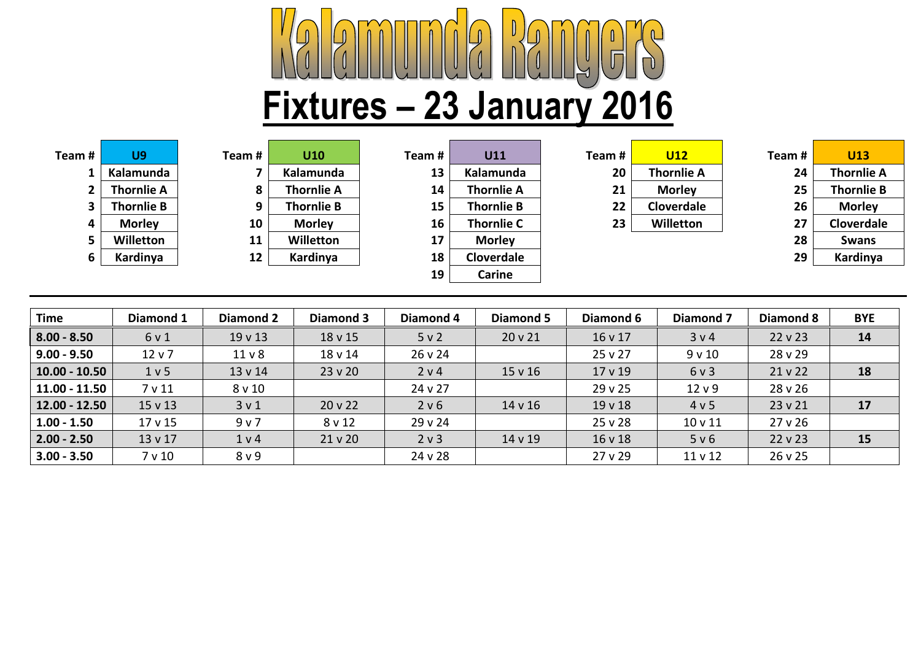# **Fixtures – 23 January 2016**

| Feam #         | U9                |
|----------------|-------------------|
| 1              | Kalamunda         |
| $\overline{2}$ | <b>Thornlie A</b> |
| 3              | <b>Thornlie B</b> |
| 4              | <b>Morley</b>     |
| 5              | Willetton         |
| 6              | Kardinya          |

| Team # | U9                | Team# | U10               | Team # | U11               | Team# | <b>U12</b>        | Team # | <b>U13</b>        |
|--------|-------------------|-------|-------------------|--------|-------------------|-------|-------------------|--------|-------------------|
|        | Kalamunda         |       | Kalamunda         | 13     | Kalamunda         | 20    | <b>Thornlie A</b> | 24     | <b>Thornlie A</b> |
|        | <b>Thornlie A</b> | 8     | <b>Thornlie A</b> | 14     | <b>Thornlie A</b> | 21    | <b>Morley</b>     | 25     | <b>Thornlie B</b> |
|        | <b>Thornlie B</b> | 9     | <b>Thornlie B</b> | 15     | <b>Thornlie B</b> | 22    | Cloverdale        | 26     | <b>Morley</b>     |
|        | <b>Morley</b>     | 10    | <b>Morley</b>     | 16     | <b>Thornlie C</b> | 23    | Willetton         |        | Cloverdale        |
|        | <b>Willetton</b>  | 11    | Willetton         | 17     | <b>Morley</b>     |       |                   | 28     | <b>Swans</b>      |
|        | Kardinya          | 12    | Kardinya          | 18     | Cloverdale        |       |                   | 29     | Kardinya          |
|        |                   |       |                   | 19     | Carine            |       |                   |        |                   |

| m # | U11               |
|-----|-------------------|
| 13  | Kalamunda         |
| 14  | Thornlie A        |
| 15  | Thornlie B        |
| 16  | <b>Thornlie C</b> |
| 17  | <b>Morley</b>     |
| 18  | <b>Cloverdale</b> |
| 19  | Carine            |
|     |                   |

| am # | U12               |
|------|-------------------|
| 20   | <b>Thornlie A</b> |
| 21   | <b>Morley</b>     |
| 22   | Cloverdale        |
| 23   | Willetton         |
|      |                   |

| eam # | U13               |
|-------|-------------------|
| 24    | <b>Thornlie A</b> |
| 25    | <b>Thornlie B</b> |
| 26    | <b>Morley</b>     |
| 27    | <b>Cloverdale</b> |
| 28    | <b>Swans</b>      |
| 29    | Kardinya          |

| <b>Time</b>     | Diamond 1          | Diamond 2         | Diamond 3 | Diamond 4 | Diamond 5 | Diamond 6 | Diamond 7          | <b>Diamond 8</b> | <b>BYE</b> |
|-----------------|--------------------|-------------------|-----------|-----------|-----------|-----------|--------------------|------------------|------------|
| $8.00 - 8.50$   | 6 v 1              | $19 \vee 13$      | 18 v 15   | 5 v 2     | 20 v 21   | 16 v 17   | 3 v 4              | $22 \vee 23$     | 14         |
| $9.00 - 9.50$   | $12 \vee 7$        | 11 <sub>v</sub> 8 | 18 v 14   | 26 v 24   |           | 25 v 27   | 9 v 10             | 28 v 29          |            |
| $10.00 - 10.50$ | 1 <sub>v</sub> 5   | 13 v 14           | 23v20     | 2 v 4     | 15 v 16   | 17 v 19   | 6 v 3              | 21 v 22          | 18         |
| $11.00 - 11.50$ | 7 v 11             | $8$ v 10          |           | 24 v 27   |           | 29v25     | 12 <sub>v</sub> 9  | 28 v 26          |            |
| $12.00 - 12.50$ | $15 \vee 13$       | 3 <sub>v</sub> 1  | 20 v 22   | 2 v 6     | 14 v 16   | 19v18     | 4 v 5              | 23 v 21          | 17         |
| $1.00 - 1.50$   | 17 <sub>v</sub> 15 | 9 v 7             | 8 v 12    | 29 v 24   |           | 25 v 28   | 10 <sub>v</sub> 11 | 27v26            |            |
| $2.00 - 2.50$   | 13 v 17            | 1 v 4             | 21v20     | 2 v 3     | 14 v 19   | 16 v 18   | 5 v 6              | $22 \vee 23$     | 15         |
| $3.00 - 3.50$   | 7 v 10             | 8 <sub>v</sub> 9  |           | 24 v 28   |           | 27v29     | 11 <sub>v</sub> 12 | 26 v 25          |            |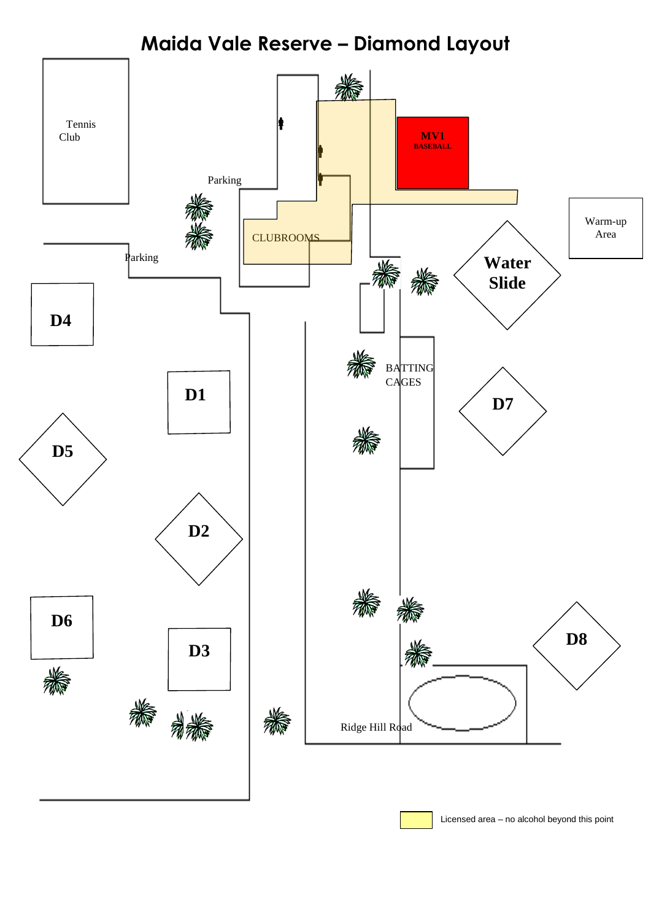**Maida Vale Reserve – Diamond Layout**